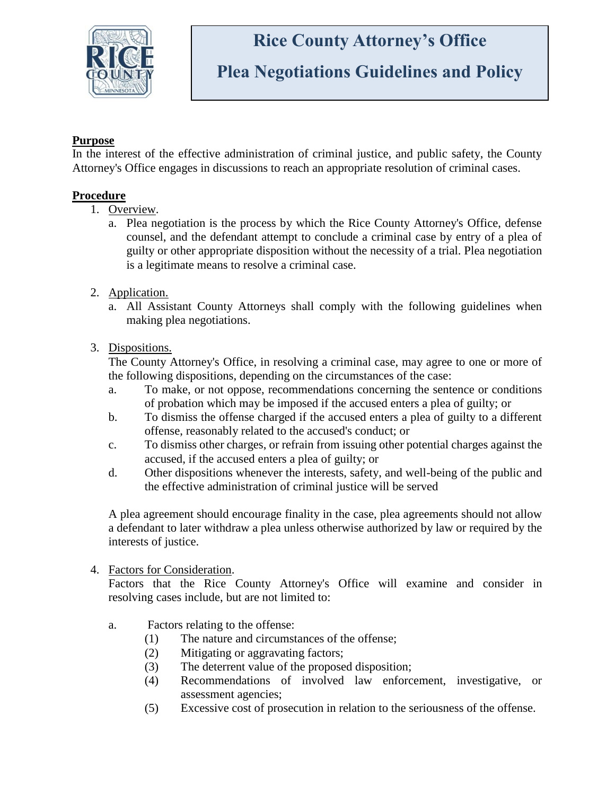

## **Rice County Attorney's Office**

## **Plea Negotiations Guidelines and Policy**

## **Purpose**

In the interest of the effective administration of criminal justice, and public safety, the County Attorney's Office engages in discussions to reach an appropriate resolution of criminal cases.

## **Procedure**

- 1. Overview.
	- a. Plea negotiation is the process by which the Rice County Attorney's Office, defense counsel, and the defendant attempt to conclude a criminal case by entry of a plea of guilty or other appropriate disposition without the necessity of a trial. Plea negotiation is a legitimate means to resolve a criminal case.
- 2. Application.
	- a. All Assistant County Attorneys shall comply with the following guidelines when making plea negotiations.
- 3. Dispositions.

The County Attorney's Office, in resolving a criminal case, may agree to one or more of the following dispositions, depending on the circumstances of the case:

- a. To make, or not oppose, recommendations concerning the sentence or conditions of probation which may be imposed if the accused enters a plea of guilty; or
- b. To dismiss the offense charged if the accused enters a plea of guilty to a different offense, reasonably related to the accused's conduct; or
- c. To dismiss other charges, or refrain from issuing other potential charges against the accused, if the accused enters a plea of guilty; or
- d. Other dispositions whenever the interests, safety, and well-being of the public and the effective administration of criminal justice will be served

A plea agreement should encourage finality in the case, plea agreements should not allow a defendant to later withdraw a plea unless otherwise authorized by law or required by the interests of justice.

4. Factors for Consideration.

Factors that the Rice County Attorney's Office will examine and consider in resolving cases include, but are not limited to:

- a. Factors relating to the offense:
	- (1) The nature and circumstances of the offense;
	- (2) Mitigating or aggravating factors;
	- (3) The deterrent value of the proposed disposition;
	- (4) Recommendations of involved law enforcement, investigative, or assessment agencies;
	- (5) Excessive cost of prosecution in relation to the seriousness of the offense.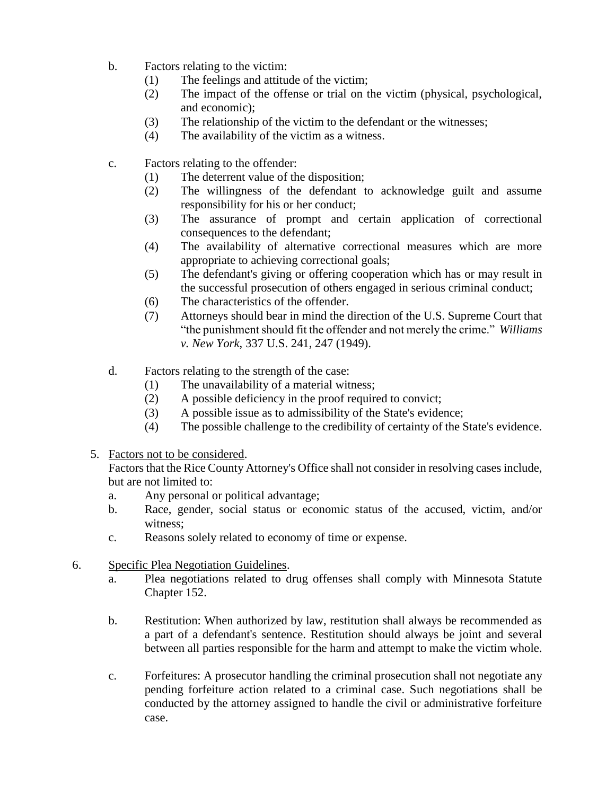- b. Factors relating to the victim:
	- (1) The feelings and attitude of the victim;
	- (2) The impact of the offense or trial on the victim (physical, psychological, and economic);
	- (3) The relationship of the victim to the defendant or the witnesses;
	- (4) The availability of the victim as a witness.
- c. Factors relating to the offender:
	- (1) The deterrent value of the disposition;
	- (2) The willingness of the defendant to acknowledge guilt and assume responsibility for his or her conduct;
	- (3) The assurance of prompt and certain application of correctional consequences to the defendant;
	- (4) The availability of alternative correctional measures which are more appropriate to achieving correctional goals;
	- (5) The defendant's giving or offering cooperation which has or may result in the successful prosecution of others engaged in serious criminal conduct;
	- (6) The characteristics of the offender.
	- (7) Attorneys should bear in mind the direction of the U.S. Supreme Court that "the punishment should fit the offender and not merely the crime." *Williams v. New York*, 337 U.S. 241, 247 (1949).
- d. Factors relating to the strength of the case:
	- (1) The unavailability of a material witness;
	- (2) A possible deficiency in the proof required to convict;
	- (3) A possible issue as to admissibility of the State's evidence;
	- (4) The possible challenge to the credibility of certainty of the State's evidence.
- 5. Factors not to be considered.

Factors that the Rice County Attorney's Office shall not consider in resolving cases include, but are not limited to:

- a. Any personal or political advantage;
- b. Race, gender, social status or economic status of the accused, victim, and/or witness;
- c. Reasons solely related to economy of time or expense.
- 6. Specific Plea Negotiation Guidelines.
	- a. Plea negotiations related to drug offenses shall comply with Minnesota Statute Chapter 152.
	- b. Restitution: When authorized by law, restitution shall always be recommended as a part of a defendant's sentence. Restitution should always be joint and several between all parties responsible for the harm and attempt to make the victim whole.
	- c. Forfeitures: A prosecutor handling the criminal prosecution shall not negotiate any pending forfeiture action related to a criminal case. Such negotiations shall be conducted by the attorney assigned to handle the civil or administrative forfeiture case.